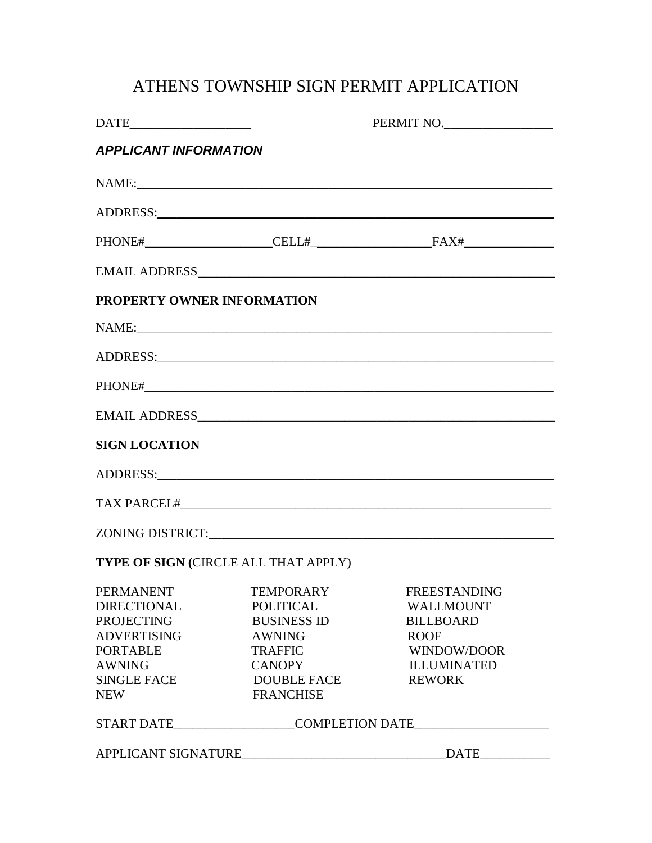# ATHENS TOWNSHIP SIGN PERMIT APPLICATION

| $\text{DATE}\_$                                                                                                                       |                                                                                                                        | PERMIT NO.                                                                                                                                    |  |  |  |
|---------------------------------------------------------------------------------------------------------------------------------------|------------------------------------------------------------------------------------------------------------------------|-----------------------------------------------------------------------------------------------------------------------------------------------|--|--|--|
| <b>APPLICANT INFORMATION</b>                                                                                                          |                                                                                                                        |                                                                                                                                               |  |  |  |
|                                                                                                                                       |                                                                                                                        | NAME:                                                                                                                                         |  |  |  |
|                                                                                                                                       |                                                                                                                        |                                                                                                                                               |  |  |  |
|                                                                                                                                       |                                                                                                                        | $\text{PHONE}\# \underbrace{\text{PELL}\# \underbrace{\text{PELL}\# \text{SAX}\# \text{SPAL}}$                                                |  |  |  |
|                                                                                                                                       |                                                                                                                        |                                                                                                                                               |  |  |  |
| PROPERTY OWNER INFORMATION                                                                                                            |                                                                                                                        |                                                                                                                                               |  |  |  |
|                                                                                                                                       |                                                                                                                        |                                                                                                                                               |  |  |  |
|                                                                                                                                       |                                                                                                                        |                                                                                                                                               |  |  |  |
|                                                                                                                                       |                                                                                                                        |                                                                                                                                               |  |  |  |
|                                                                                                                                       |                                                                                                                        |                                                                                                                                               |  |  |  |
| <b>SIGN LOCATION</b>                                                                                                                  |                                                                                                                        |                                                                                                                                               |  |  |  |
|                                                                                                                                       |                                                                                                                        | ADDRESS: ADDRESS:                                                                                                                             |  |  |  |
|                                                                                                                                       |                                                                                                                        |                                                                                                                                               |  |  |  |
|                                                                                                                                       |                                                                                                                        |                                                                                                                                               |  |  |  |
|                                                                                                                                       | TYPE OF SIGN (CIRCLE ALL THAT APPLY)                                                                                   |                                                                                                                                               |  |  |  |
| <b>DIRECTIONAL</b><br><b>PROJECTING</b><br><b>ADVERTISING</b><br><b>PORTABLE</b><br><b>AWNING</b><br><b>SINGLE FACE</b><br><b>NEW</b> | POLITICAL<br><b>BUSINESS ID</b><br><b>AWNING</b><br><b>TRAFFIC</b><br><b>CANOPY</b><br>DOUBLE FACE<br><b>FRANCHISE</b> | PERMANENT TEMPORARY FREESTANDING<br><b>WALLMOUNT</b><br><b>BILLBOARD</b><br><b>ROOF</b><br>WINDOW/DOOR<br><b>ILLUMINATED</b><br><b>REWORK</b> |  |  |  |
| START DATE_____________________COMPLETION DATE__________________________________                                                      |                                                                                                                        |                                                                                                                                               |  |  |  |
|                                                                                                                                       | APPLICANT SIGNATURE                                                                                                    | $\begin{tabular}{ c c } \hline \multicolumn{3}{ c }{\textbf{DATE}} \end{tabular}$                                                             |  |  |  |